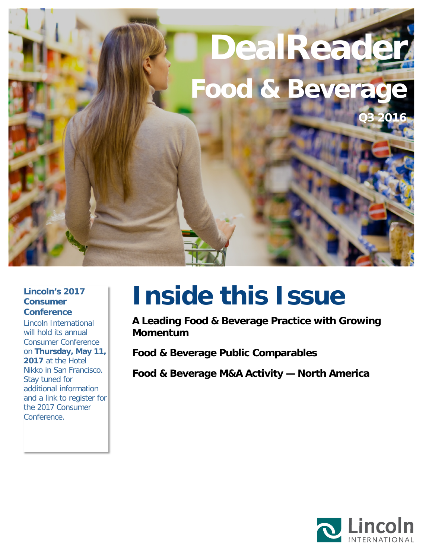# **DealReade Food & Bevera Q3 2016**

#### **Lincoln's 2017 Consumer Conference**

Lincoln International will hold its annual Consumer Conference on **Thursday, May 11, 2017** at the Hotel Nikko in San Francisco. Stay tuned for additional information and a link to register for the 2017 Consumer Conference.

# **Inside this Issue**

**[A Leading Food & Beverage Practice with Growing](#page-1-0)  [Momentum](#page-1-0)**

**[Food & Beverage Public Comparables](#page-2-0)**

**[Food & Beverage M&A Activity —](#page-3-0) North America**

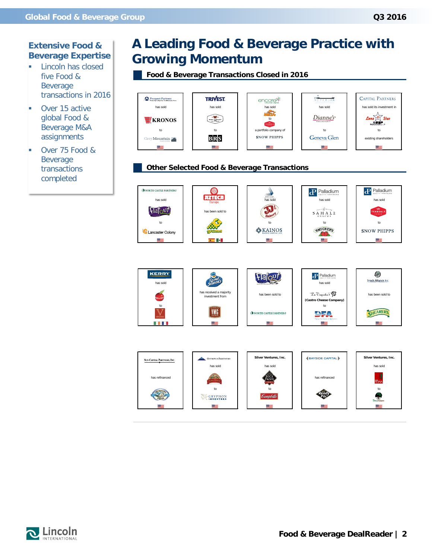#### **Extensive Food & Beverage Expertise**

- **Lincoln has closed** five Food & Beverage transactions in 2016
- **Over 15 active** global Food & Beverage M&A assignments
- **Over 75 Food &** Beverage transactions completed

# <span id="page-1-0"></span>**A Leading Food & Beverage Practice with Growing Momentum**

**Food & Beverage Transactions Closed in 2016**



#### **Other Selected Food & Beverage Transactions**







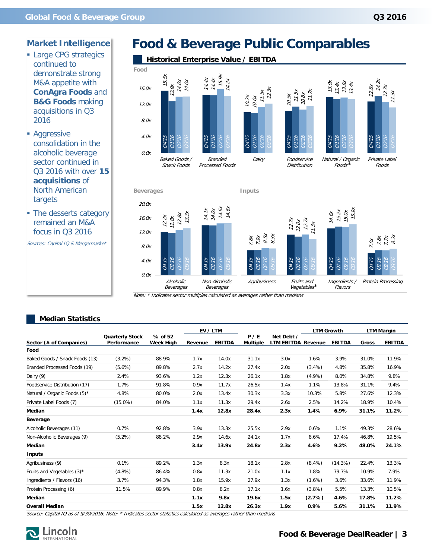- **Large CPG strategics** continued to demonstrate strong M&A appetite with **ConAgra Foods** and **B&G Foods** making acquisitions in Q3 2016
- **Aggressive** consolidation in the alcoholic beverage sector continued in Q3 2016 with over **15 acquisitions** of North American targets
- The desserts category remained an M&A focus in Q3 2016

# <span id="page-2-0"></span>**Food & Beverage Public Comparables**



#### **Median Statistics**

| M&A appetite with<br><b>ConAgra Foods and</b><br><b>B&amp;G Foods making</b><br>acquisitions in Q3 | acmonstrate strong<br>16.0x<br>12.0x  | 15.5x<br>$\begin{array}{c} 14.0x \\ 14.0x \end{array}$<br>12.9x |              | $\begin{array}{r} \n 14.4x \\  14.4x \\  15.9x \\  14.2x\n \end{array}$ | $11.5x$<br>$12.3x$<br>10.2x<br>10.0x | 11.5x<br>$10.5x$                        | $\frac{10.8x}{11.7x}$                                           | 13.9x<br>$13.4x$<br>$13.8x$<br>$13.4x$                          | 14.2x<br>12.8x        | 12.7x<br>11.3x             |
|----------------------------------------------------------------------------------------------------|---------------------------------------|-----------------------------------------------------------------|--------------|-------------------------------------------------------------------------|--------------------------------------|-----------------------------------------|-----------------------------------------------------------------|-----------------------------------------------------------------|-----------------------|----------------------------|
| 2016<br>• Aggressive<br>consolidation in the                                                       | 8.0x<br>4.0x                          | Q4'75<br>01'16<br>94,                                           | Q4'15        | 01'16<br>94,                                                            | <b>GA'15</b><br>Q1'16<br>94,         | Q4'15<br>01'16                          | 02'16                                                           | Q4'15<br>91'16<br>22'16                                         | <b>GA'15</b><br>01'16 | 02'16                      |
| alcoholic beverage<br>sector continued in<br>Q3 2016 with over 15<br>acquisitions of               | 0.0x                                  | Baked Goods /<br>Snack Foods                                    |              | <b>Branded</b><br>Processed Foods                                       | Dairy                                | Foodservice<br><b>Distribution</b>      |                                                                 | Natural / Organic<br>Foods                                      |                       | Private Label<br>Foods     |
| <b>North American</b><br>targets                                                                   |                                       | <b>Beverages</b>                                                |              |                                                                         | Inputs                               |                                         |                                                                 |                                                                 |                       |                            |
| • The desserts category<br>remained an M&A                                                         | 20.0x<br>16.0x                        | $\begin{array}{c} 12.2x \\ 11.8x \\ 12.8x \\ 13.3x \end{array}$ |              | $14.7x$<br>$14.0x$<br>$14.6x$<br>$14.6x$                                |                                      |                                         |                                                                 | $\begin{array}{c} 14.6x \\ 15.2x \\ 15.0x \\ 15.9x \end{array}$ |                       |                            |
| focus in Q3 2016                                                                                   | 12.0x                                 |                                                                 |              |                                                                         |                                      |                                         | $\begin{array}{c} 12.7x \\ 12.0x \\ 12.7x \\ 11.3x \end{array}$ |                                                                 |                       |                            |
| Sources: Capital IQ & Mergermarket                                                                 | 8.0x                                  |                                                                 |              |                                                                         | $7.8x$<br>$7.9x$<br>$8.5x$<br>$8.3x$ |                                         |                                                                 |                                                                 | 7.OX                  | $7.8x$<br>$7.7x$<br>$8.2x$ |
|                                                                                                    | 4.0x<br>0.0x                          | Q4'15<br>01'16                                                  | Q4'15        | 01'16<br>2716                                                           | Q4'15<br>01'16                       | 01'16<br><b>GA'15</b>                   | 02'16                                                           | Q4'15<br>01'16<br>02'16                                         | Q4'15<br>01'16        |                            |
|                                                                                                    |                                       | Alcoholic<br>Beverages                                          |              | Non-Alcoholic<br>Beverages                                              | Agribusiness                         |                                         | Fruits and<br>Vegetables*                                       | Ingredients /<br>Flavors                                        |                       | Protein Processing         |
| <b>Median Statistics</b>                                                                           |                                       |                                                                 | EV / LTM     |                                                                         |                                      |                                         | <b>LTM Growth</b>                                               |                                                                 | <b>LTM Margin</b>     |                            |
|                                                                                                    |                                       |                                                                 |              |                                                                         |                                      |                                         |                                                                 |                                                                 |                       |                            |
| Sector (# of Companies)                                                                            | <b>Quarterly Stock</b><br>Performance | % of 52<br><b>Week High</b>                                     | Revenue      | <b>EBITDA</b>                                                           | P / E<br>Multiple                    | Net Debt /<br><b>LTM EBITDA Revenue</b> |                                                                 | <b>EBITDA</b>                                                   | Gross                 | <b>EBITDA</b>              |
| Food                                                                                               |                                       |                                                                 |              |                                                                         |                                      |                                         |                                                                 |                                                                 |                       |                            |
| Baked Goods / Snack Foods (13)                                                                     | (3.2%)                                | 88.9%                                                           | 1.7x         | 14.0x                                                                   | 31.1x                                | 3.0x                                    | 1.6%                                                            | 3.9%                                                            | 31.0%                 | 11.9%                      |
| Branded Processed Foods (19)                                                                       | (5.6%)                                | 89.8%                                                           | 2.7x         | 14.2x                                                                   | 27.4x                                | 2.0x                                    | $(3.4\%)$                                                       | 4.8%                                                            | 35.8%                 | 16.9%                      |
| Dairy (9)                                                                                          | 2.4%                                  | 93.6%                                                           | 1.2x         | 12.3x                                                                   | 26.1x                                | 1.8x                                    | (4.9%)                                                          | 8.0%                                                            | 34.8%                 | 9.8%                       |
| Foodservice Distribution (17)                                                                      | 1.7%                                  | 91.8%                                                           | 0.9x         | 11.7x                                                                   | 26.5x                                | 1.4x                                    | 1.1%                                                            | 13.8%                                                           | 31.1%                 | 9.4%                       |
|                                                                                                    | 4.8%                                  | 80.0%                                                           | 2.0x         | 13.4x                                                                   | 30.3x                                | 3.3x                                    | 10.3%                                                           | 5.8%                                                            | 27.6%                 | 12.3%                      |
| Private Label Foods (7)                                                                            | $(15.0\%)$                            | 84.0%                                                           | 1.1x         | 11.3x                                                                   | 29.4x                                | 2.6x                                    | 2.5%                                                            | 14.2%                                                           | 18.9%                 | 10.4%                      |
| Median                                                                                             |                                       |                                                                 | 1.4x         | 12.8x                                                                   | 28.4x                                | 2.3x                                    | 1.4%                                                            | 6.9%                                                            | 31.1%                 | 11.2%                      |
| Natural / Organic Foods (5)*<br>Beverage                                                           |                                       |                                                                 |              |                                                                         |                                      |                                         |                                                                 |                                                                 |                       |                            |
|                                                                                                    | 0.7%                                  | 92.8%                                                           | 3.9x         | 13.3x                                                                   | 25.5x                                | 2.9x                                    | 0.6%                                                            | 1.1%                                                            | 49.3%                 | 28.6%                      |
|                                                                                                    | (5.2%)                                | 88.2%                                                           | 2.9x         | 14.6x                                                                   | 24.1x                                | 1.7x                                    | 8.6%                                                            | 17.4%                                                           | 46.8%                 | 19.5%                      |
| Alcoholic Beverages (11)<br>Non-Alcoholic Beverages (9)<br>Median                                  |                                       |                                                                 | 3.4x         | 13.9x                                                                   | 24.8x                                | 2.3x                                    | 4.6%                                                            | 9.2%                                                            | 48.0%                 | 24.1%                      |
| <b>Inputs</b>                                                                                      |                                       |                                                                 |              |                                                                         |                                      |                                         |                                                                 |                                                                 |                       |                            |
| Agribusiness (9)                                                                                   | 0.1%                                  | 89.2%                                                           | 1.3x         | 8.3x                                                                    | 18.1x                                | 2.8x                                    | $(8.4\%)$                                                       | (14.3%)                                                         | 22.4%                 | 13.3%                      |
| Fruits and Vegetables (3)*                                                                         | (4.8%)                                | 86.4%                                                           | 0.8x         | 11.3x                                                                   | 21.0x                                | 1.1x                                    | 1.8%                                                            | 79.7%                                                           | 10.9%                 | 7.9%                       |
| Ingredients / Flavors (16)                                                                         | 3.7%                                  | 94.3%                                                           | 1.8x         | 15.9x                                                                   | 27.9x                                | 1.3x                                    | (1.6%)                                                          | 3.6%                                                            | 33.6%                 | 11.9%                      |
| Protein Processing (6)                                                                             | 11.5%                                 | 89.9%                                                           | 0.8x         | 8.2x                                                                    | 17.1x                                | 1.6x                                    | $(3.8\%)$                                                       | 5.5%                                                            | 13.3%                 | 10.5%                      |
| Median<br><b>Overall Median</b>                                                                    |                                       |                                                                 | 1.1x<br>1.5x | 9.8x<br>12.8x                                                           | 19.6x<br>26.3x                       | 1.5x<br>1.9x                            | (2.7%)<br>0.9%                                                  | 4.6%<br>5.6%                                                    | 17.8%<br>31.1%        | 11.2%<br>11.9%             |

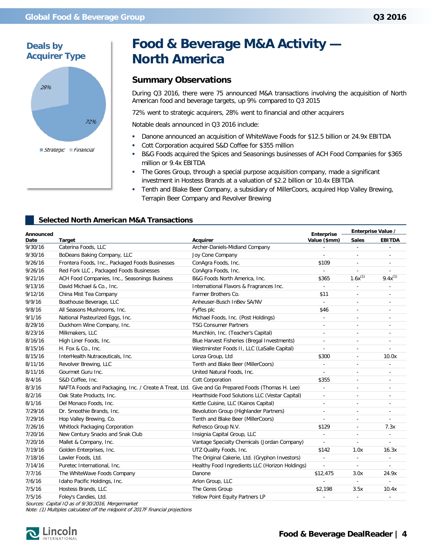

## <span id="page-3-0"></span>**Food & Beverage M&A Activity — North America**

#### **Summary Observations**

During Q3 2016, there were 75 announced M&A transactions involving the acquisition of North American food and beverage targets, up 9% compared to Q3 2015

72% went to strategic acquirers, 28% went to financial and other acquirers

Notable deals announced in Q3 2016 include:

- Danone announced an acquisition of WhiteWave Foods for \$12.5 billion or 24.9x EBITDA
- Cott Corporation acquired S&D Coffee for \$355 million
- B&G Foods acquired the Spices and Seasonings businesses of ACH Food Companies for \$365 million or 9.4x EBITDA
- The Gores Group, through a special purpose acquisition company, made a significant investment in Hostess Brands at a valuation of \$2.2 billion or 10.4x EBITDA
- **Tenth and Blake Beer Company, a subsidiary of MillerCoors, acquired Hop Valley Brewing,** Terrapin Beer Company and Revolver Brewing

#### **Selected North American M&A Transactions**

| Announced |                                                                                                   |                                                 | <b>Enterprise</b>        | Enterprise Value /       |                          |
|-----------|---------------------------------------------------------------------------------------------------|-------------------------------------------------|--------------------------|--------------------------|--------------------------|
| Date      | <b>Target</b>                                                                                     | <b>Acquirer</b>                                 | Value (\$mm)             | <b>Sales</b>             | <b>EBITDA</b>            |
| 9/30/16   | Caterina Foods, LLC                                                                               | Archer-Daniels-Midland Company                  |                          | ä,                       |                          |
| 9/30/16   | BoDeans Baking Company, LLC                                                                       | Joy Cone Company                                | ٠                        | ٠                        | ٠                        |
| 9/26/16   | Frontera Foods, Inc., Packaged Foods Businesses                                                   | ConAgra Foods, Inc.                             | \$109                    |                          | $\sim$                   |
| 9/26/16   | Red Fork LLC, Packaged Foods Businesses                                                           | ConAgra Foods, Inc.                             | $\blacksquare$           | ÷,                       |                          |
| 9/21/16   | ACH Food Companies, Inc., Seasonings Business                                                     | B&G Foods North America, Inc.                   | \$365                    | $1.6x^{(1)}$             | $9.4x^{(1)}$             |
| 9/13/16   | David Michael & Co., Inc.                                                                         | International Flavors & Fragrances Inc.         | ä,                       |                          |                          |
| 9/12/16   | China Mist Tea Company                                                                            | Farmer Brothers Co.                             | \$11                     | $\overline{\phantom{a}}$ | ٠                        |
| 9/9/16    | Boathouse Beverage, LLC                                                                           | Anheuser-Busch InBev SA/NV                      | $\mathbf{r}$             | ÷.                       | ä,                       |
| 9/8/16    | All Seasons Mushrooms, Inc.                                                                       | Fyffes plc                                      | \$46                     | $\overline{\phantom{a}}$ | $\overline{a}$           |
| 9/1/16    | National Pasteurized Eggs, Inc.                                                                   | Michael Foods, Inc. (Post Holdings)             | ÷,                       | ÷.                       | ÷.                       |
| 8/29/16   | Duckhorn Wine Company, Inc.                                                                       | <b>TSG Consumer Partners</b>                    | $\overline{\phantom{a}}$ |                          |                          |
| 8/23/16   | Milkmakers, LLC                                                                                   | Munchkin, Inc. (Teacher's Capital)              | $\overline{\phantom{a}}$ | $\sim$                   | $\sim$                   |
| 8/16/16   | High Liner Foods, Inc.                                                                            | Blue Harvest Fisheries (Bregal Investments)     | $\frac{1}{2}$            |                          |                          |
| 8/15/16   | H. Fox & Co., Inc.                                                                                | Westminster Foods II, LLC (LaSalle Capital)     | $\overline{\phantom{a}}$ |                          |                          |
| 8/15/16   | InterHealth Nutraceuticals, Inc.                                                                  | Lonza Group, Ltd                                | \$300                    | $\sim$                   | 10.0x                    |
| 8/11/16   | Revolver Brewing, LLC                                                                             | Tenth and Blake Beer (MillerCoors)              | $\overline{\phantom{a}}$ | ٠                        |                          |
| 8/11/16   | Gourmet Guru Inc.                                                                                 | United Natural Foods, Inc.                      | $\overline{\phantom{a}}$ |                          | $\sim$                   |
| 8/4/16    | S&D Coffee, Inc.                                                                                  | <b>Cott Corporation</b>                         | \$355                    |                          | ÷.                       |
| 8/3/16    | NAFTA Foods and Packaging, Inc. / Create A Treat, Ltd. Give and Go Prepared Foods (Thomas H. Lee) |                                                 | $\overline{\phantom{a}}$ | $\overline{a}$           | $\sim$                   |
| 8/2/16    | Oak State Products, Inc.                                                                          | Hearthside Food Solutions LLC (Vestar Capital)  | $\overline{\phantom{a}}$ |                          | ÷,                       |
| 8/1/16    | Del Monaco Foods, Inc.                                                                            | Kettle Cuisine, LLC (Kainos Capital)            | $\overline{\phantom{a}}$ |                          | $\sim$                   |
| 7/29/16   | Dr. Smoothie Brands, Inc.                                                                         | Bevolution Group (Highlander Partners)          | $\overline{\phantom{a}}$ | $\overline{a}$           | ÷.                       |
| 7/29/16   | Hop Valley Brewing, Co.                                                                           | Tenth and Blake Beer (MillerCoors)              | ä,                       | ä,                       | ×.                       |
| 7/26/16   | Whitlock Packaging Corporation                                                                    | Refresco Group N.V.                             | \$129                    | $\overline{\phantom{a}}$ | 7.3x                     |
| 7/20/16   | New Century Snacks and Snak Club                                                                  | Insignia Capital Group, LLC                     | ä,                       | ÷.                       |                          |
| 7/20/16   | Mallet & Company, Inc.                                                                            | Vantage Specialty Chemicals (Jordan Company)    |                          |                          |                          |
| 7/19/16   | Golden Enterprises, Inc.                                                                          | UTZ Quality Foods, Inc.                         | \$142                    | 1.0x                     | 16.3x                    |
| 7/18/16   | Lawler Foods, Ltd.                                                                                | The Original Cakerie, Ltd. (Gryphon Investors)  | $\overline{\phantom{a}}$ | $\overline{\phantom{a}}$ | $\overline{\phantom{a}}$ |
| 7/14/16   | Puretec International, Inc.                                                                       | Healthy Food Ingredients LLC (Horizon Holdings) | $\overline{\phantom{a}}$ | $\overline{\phantom{a}}$ | ä,                       |
| 7/7/16    | The WhiteWave Foods Company                                                                       | Danone                                          | \$12,475                 | 3.0x                     | 24.9x                    |
| 7/6/16    | Idaho Pacific Holdings, Inc.                                                                      | Arlon Group, LLC                                | $\overline{\phantom{a}}$ | $\blacksquare$           | $\sim$                   |
| 7/5/16    | Hostess Brands, LLC                                                                               | The Gores Group                                 | \$2,198                  | 3.5x                     | 10.4x                    |
| 7/5/16    | Foley's Candies, Ltd.                                                                             | Yellow Point Equity Partners LP                 |                          |                          |                          |

Sources: Capital IQ as of 9/30/2016, Mergermarket

Note: (1) Multiples calculated off the midpoint of 2017F financial projections